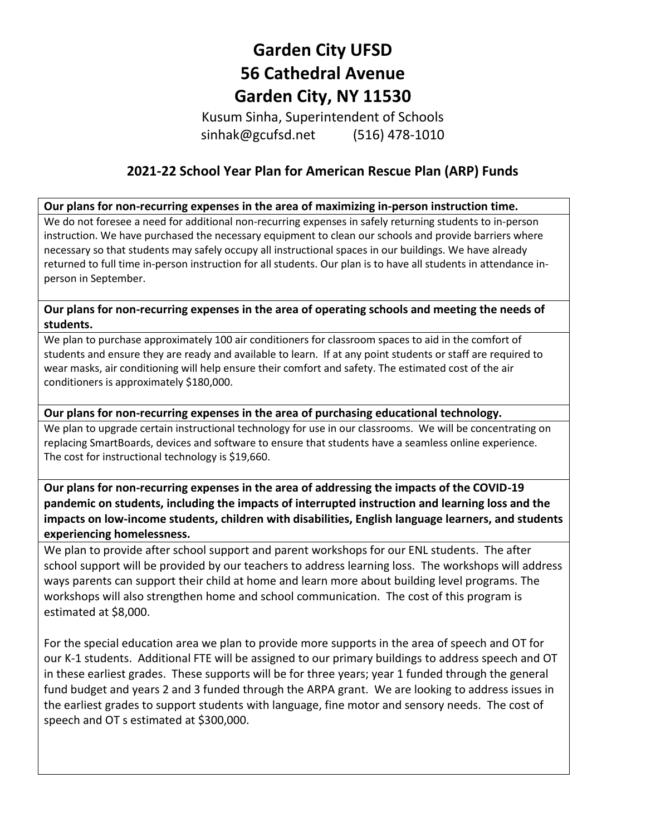# **Garden City UFSD 56 Cathedral Avenue Garden City, NY 11530**

Kusum Sinha, Superintendent of Schools sinhak@gcufsd.net (516) 478-1010

## **2021-22 School Year Plan for American Rescue Plan (ARP) Funds**

#### **Our plans for non-recurring expenses in the area of maximizing in-person instruction time.**

We do not foresee a need for additional non-recurring expenses in safely returning students to in-person instruction. We have purchased the necessary equipment to clean our schools and provide barriers where necessary so that students may safely occupy all instructional spaces in our buildings. We have already returned to full time in-person instruction for all students. Our plan is to have all students in attendance inperson in September.

#### **Our plans for non-recurring expenses in the area of operating schools and meeting the needs of students.**

We plan to purchase approximately 100 air conditioners for classroom spaces to aid in the comfort of students and ensure they are ready and available to learn. If at any point students or staff are required to wear masks, air conditioning will help ensure their comfort and safety. The estimated cost of the air conditioners is approximately \$180,000.

#### **Our plans for non-recurring expenses in the area of purchasing educational technology.**

We plan to upgrade certain instructional technology for use in our classrooms. We will be concentrating on replacing SmartBoards, devices and software to ensure that students have a seamless online experience. The cost for instructional technology is \$19,660.

## **Our plans for non-recurring expenses in the area of addressing the impacts of the COVID-19 pandemic on students, including the impacts of interrupted instruction and learning loss and the impacts on low-income students, children with disabilities, English language learners, and students experiencing homelessness.**

We plan to provide after school support and parent workshops for our ENL students. The after school support will be provided by our teachers to address learning loss. The workshops will address ways parents can support their child at home and learn more about building level programs. The workshops will also strengthen home and school communication. The cost of this program is estimated at \$8,000.

For the special education area we plan to provide more supports in the area of speech and OT for our K-1 students. Additional FTE will be assigned to our primary buildings to address speech and OT in these earliest grades. These supports will be for three years; year 1 funded through the general fund budget and years 2 and 3 funded through the ARPA grant. We are looking to address issues in the earliest grades to support students with language, fine motor and sensory needs. The cost of speech and OT s estimated at \$300,000.